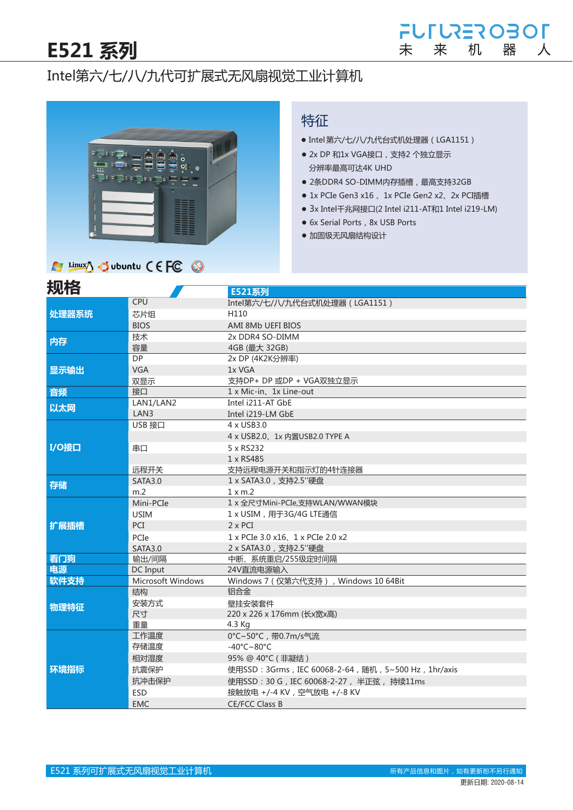## Intel第六/七/八/九代可扩展式无风扇视觉工业计算机



#### 特征

- Intel 第六/七/八/九代台式机处理器 (LGA1151)
- 2x DP 和1x VGA接口, 支持2 个独立显示 分辨率最高可达4K UHD
- 2条DDR4 SO-DIMM内存插槽, 最高支持32GB
- 1x PCIe Gen3 x16、1x PCIe Gen2 x2、2x PCI插槽
- 3x Intel千兆网接口(2 Intel i211-AT和1 Intel i219-LM)
- 6x Serial Ports, 8x USB Ports
- 加固级无风扇结构设计

#### A Linux J . Jubuntu CEFC O

| 规格    |                   | E521系列                                               |  |  |  |  |  |  |
|-------|-------------------|------------------------------------------------------|--|--|--|--|--|--|
|       | CPU               | Intel第六/七/八/九代台式机处理器 (LGA1151)                       |  |  |  |  |  |  |
| 处理器系统 | 芯片组               | H110                                                 |  |  |  |  |  |  |
|       | <b>BIOS</b>       | AMI 8Mb UEFI BIOS                                    |  |  |  |  |  |  |
| 内存    | 技术                | 2x DDR4 SO-DIMM                                      |  |  |  |  |  |  |
|       | 容量                | 4GB (最大 32GB)                                        |  |  |  |  |  |  |
|       | <b>DP</b>         | 2x DP (4K2K分辨率)                                      |  |  |  |  |  |  |
| 显示输出  | <b>VGA</b>        | 1x VGA                                               |  |  |  |  |  |  |
|       | 双显示               | 支持DP+ DP 或DP + VGA双独立显示                              |  |  |  |  |  |  |
| 音频    | 接口                | 1 x Mic-in、1x Line-out                               |  |  |  |  |  |  |
| 以太网   | LAN1/LAN2         | Intel i211-AT GbE                                    |  |  |  |  |  |  |
|       | LAN3              | Intel i219-LM GbE                                    |  |  |  |  |  |  |
|       | USB 接口            | 4 x USB3.0                                           |  |  |  |  |  |  |
|       |                   | 4 x USB2.0、1x 内置USB2.0 TYPE A                        |  |  |  |  |  |  |
| I/O接口 | 串口                | 5 x RS232                                            |  |  |  |  |  |  |
|       |                   | 1 x RS485                                            |  |  |  |  |  |  |
|       | 远程开关              | 支持远程电源开关和指示灯的4针连接器                                   |  |  |  |  |  |  |
| 存储    | <b>SATA3.0</b>    | 1 x SATA3.0, 支持2.5"硬盘                                |  |  |  |  |  |  |
|       | m <sub>2</sub>    | $1 \times m.2$                                       |  |  |  |  |  |  |
|       | Mini-PCIe         | 1 x 全尺寸Mini-PCIe,支持WLAN/WWAN模块                       |  |  |  |  |  |  |
|       | <b>USIM</b>       | 1 x USIM, 用于3G/4G LTE通信                              |  |  |  |  |  |  |
| 扩展插槽  | PCI               | $2 \times PCI$                                       |  |  |  |  |  |  |
|       | PCIe              | 1 x PCIe 3.0 x16, 1 x PCIe 2.0 x2                    |  |  |  |  |  |  |
|       | <b>SATA3.0</b>    | 2 x SATA3.0, 支持2.5"硬盘                                |  |  |  |  |  |  |
| 看门狗   | 输出/间隔             | 中断、系统重启/255级定时间隔                                     |  |  |  |  |  |  |
| 电源    | DC Input          | 24V直流电源输入                                            |  |  |  |  |  |  |
| 软件支持  | Microsoft Windows | Windows 7 (仅第六代支持), Windows 10 64Bit                 |  |  |  |  |  |  |
|       | 结构                | 铝合金                                                  |  |  |  |  |  |  |
| 物理特征  | 安装方式              | 壁挂安装套件                                               |  |  |  |  |  |  |
|       | 尺寸                | 220 x 226 x 176mm (长x宽x高)                            |  |  |  |  |  |  |
|       | 重量                | 4.3 Kg                                               |  |  |  |  |  |  |
|       | 工作温度              | 0°C~50°C, 带0.7m/s气流                                  |  |  |  |  |  |  |
| 环境指标  | 存储温度              | $-40^{\circ}$ C $\sim$ 80 $^{\circ}$ C               |  |  |  |  |  |  |
|       | 相对湿度              | 95% @ 40℃ (非凝结)                                      |  |  |  |  |  |  |
|       | 抗震保护              | 使用SSD: 3Grms, IEC 60068-2-64, 随机, 5~500 Hz, 1hr/axis |  |  |  |  |  |  |
|       | 抗冲击保护             | 使用SSD: 30 G, IEC 60068-2-27, 半正弦, 持续11ms             |  |  |  |  |  |  |
|       | <b>ESD</b>        | 接触放电 +/-4 KV, 空气放电 +/-8 KV                           |  |  |  |  |  |  |
|       | <b>EMC</b>        | <b>CE/FCC Class B</b>                                |  |  |  |  |  |  |